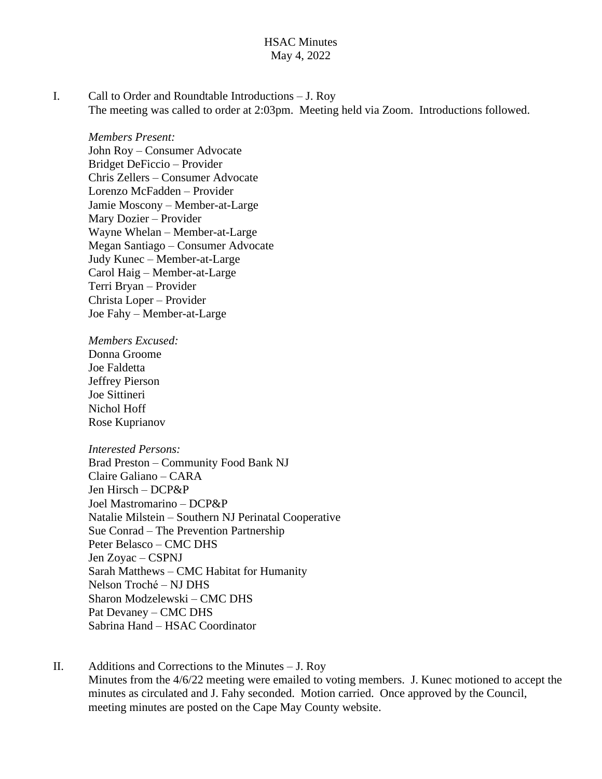#### HSAC Minutes May 4, 2022

I. Call to Order and Roundtable Introductions – J. Roy The meeting was called to order at 2:03pm. Meeting held via Zoom. Introductions followed.

*Members Present:* John Roy – Consumer Advocate Bridget DeFiccio – Provider Chris Zellers – Consumer Advocate Lorenzo McFadden – Provider Jamie Moscony – Member-at-Large Mary Dozier – Provider Wayne Whelan – Member-at-Large Megan Santiago – Consumer Advocate Judy Kunec – Member-at-Large Carol Haig – Member-at-Large Terri Bryan – Provider Christa Loper – Provider Joe Fahy – Member-at-Large

*Members Excused:* Donna Groome Joe Faldetta Jeffrey Pierson Joe Sittineri Nichol Hoff Rose Kuprianov

#### *Interested Persons:*

Brad Preston – Community Food Bank NJ Claire Galiano – CARA Jen Hirsch – DCP&P Joel Mastromarino – DCP&P Natalie Milstein – Southern NJ Perinatal Cooperative Sue Conrad – The Prevention Partnership Peter Belasco – CMC DHS Jen Zoyac – CSPNJ Sarah Matthews – CMC Habitat for Humanity Nelson Troché – NJ DHS Sharon Modzelewski – CMC DHS Pat Devaney – CMC DHS Sabrina Hand – HSAC Coordinator

II. Additions and Corrections to the Minutes – J. Roy Minutes from the 4/6/22 meeting were emailed to voting members. J. Kunec motioned to accept the minutes as circulated and J. Fahy seconded. Motion carried. Once approved by the Council, meeting minutes are posted on the Cape May County website.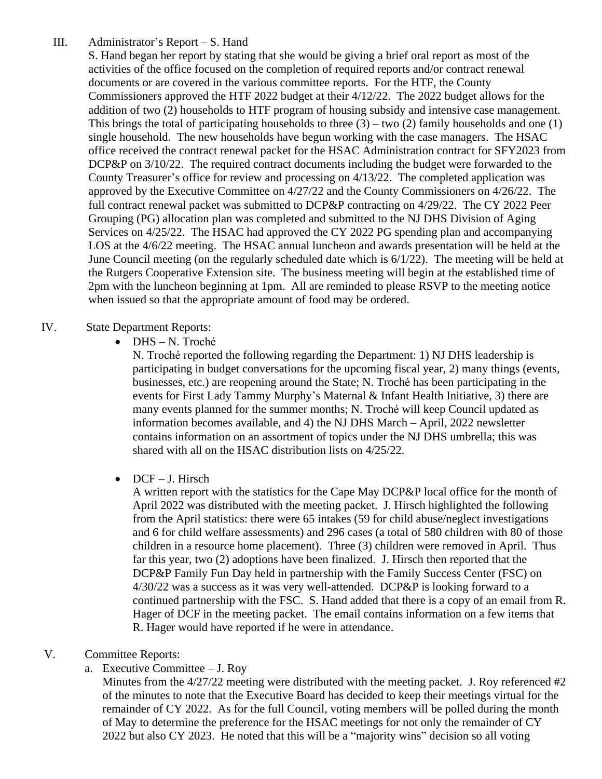III. Administrator's Report – S. Hand

S. Hand began her report by stating that she would be giving a brief oral report as most of the activities of the office focused on the completion of required reports and/or contract renewal documents or are covered in the various committee reports. For the HTF, the County Commissioners approved the HTF 2022 budget at their 4/12/22. The 2022 budget allows for the addition of two (2) households to HTF program of housing subsidy and intensive case management. This brings the total of participating households to three  $(3)$  – two  $(2)$  family households and one  $(1)$ single household. The new households have begun working with the case managers. The HSAC office received the contract renewal packet for the HSAC Administration contract for SFY2023 from DCP&P on  $3/10/22$ . The required contract documents including the budget were forwarded to the County Treasurer's office for review and processing on 4/13/22. The completed application was approved by the Executive Committee on 4/27/22 and the County Commissioners on 4/26/22. The full contract renewal packet was submitted to DCP&P contracting on 4/29/22. The CY 2022 Peer Grouping (PG) allocation plan was completed and submitted to the NJ DHS Division of Aging Services on 4/25/22. The HSAC had approved the CY 2022 PG spending plan and accompanying LOS at the 4/6/22 meeting. The HSAC annual luncheon and awards presentation will be held at the June Council meeting (on the regularly scheduled date which is 6/1/22). The meeting will be held at the Rutgers Cooperative Extension site. The business meeting will begin at the established time of 2pm with the luncheon beginning at 1pm. All are reminded to please RSVP to the meeting notice when issued so that the appropriate amount of food may be ordered.

## IV. State Department Reports:

DHS – N. Troché

N. Troché reported the following regarding the Department: 1) NJ DHS leadership is participating in budget conversations for the upcoming fiscal year, 2) many things (events, businesses, etc.) are reopening around the State; N. Troché has been participating in the events for First Lady Tammy Murphy's Maternal & Infant Health Initiative, 3) there are many events planned for the summer months; N. Troché will keep Council updated as information becomes available, and 4) the NJ DHS March – April, 2022 newsletter contains information on an assortment of topics under the NJ DHS umbrella; this was shared with all on the HSAC distribution lists on 4/25/22.

 $\bullet$  DCF – J. Hirsch

A written report with the statistics for the Cape May DCP&P local office for the month of April 2022 was distributed with the meeting packet. J. Hirsch highlighted the following from the April statistics: there were 65 intakes (59 for child abuse/neglect investigations and 6 for child welfare assessments) and 296 cases (a total of 580 children with 80 of those children in a resource home placement). Three (3) children were removed in April. Thus far this year, two (2) adoptions have been finalized. J. Hirsch then reported that the DCP&P Family Fun Day held in partnership with the Family Success Center (FSC) on 4/30/22 was a success as it was very well-attended. DCP&P is looking forward to a continued partnership with the FSC. S. Hand added that there is a copy of an email from R. Hager of DCF in the meeting packet. The email contains information on a few items that R. Hager would have reported if he were in attendance.

## V. Committee Reports:

a. Executive Committee – J. Roy

Minutes from the 4/27/22 meeting were distributed with the meeting packet. J. Roy referenced #2 of the minutes to note that the Executive Board has decided to keep their meetings virtual for the remainder of CY 2022. As for the full Council, voting members will be polled during the month of May to determine the preference for the HSAC meetings for not only the remainder of CY 2022 but also CY 2023. He noted that this will be a "majority wins" decision so all voting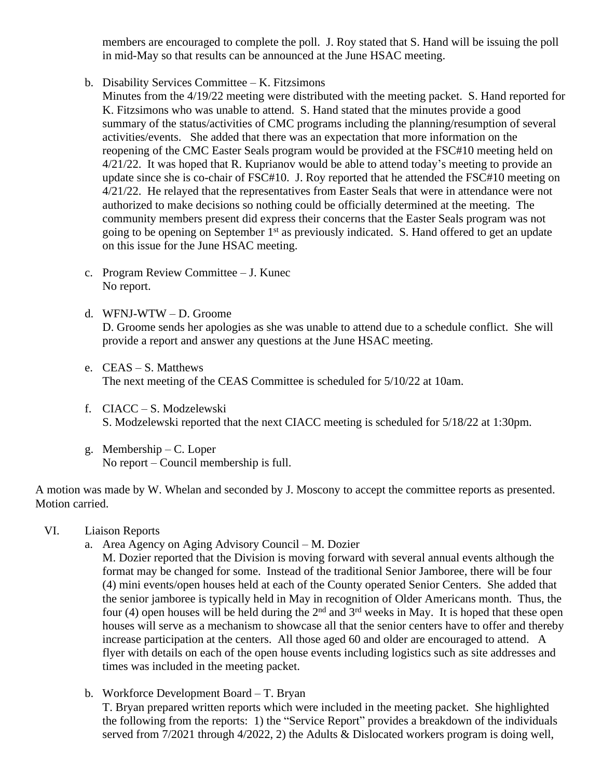members are encouraged to complete the poll. J. Roy stated that S. Hand will be issuing the poll in mid-May so that results can be announced at the June HSAC meeting.

- b. Disability Services Committee K. Fitzsimons
	- Minutes from the 4/19/22 meeting were distributed with the meeting packet. S. Hand reported for K. Fitzsimons who was unable to attend. S. Hand stated that the minutes provide a good summary of the status/activities of CMC programs including the planning/resumption of several activities/events. She added that there was an expectation that more information on the reopening of the CMC Easter Seals program would be provided at the FSC#10 meeting held on 4/21/22. It was hoped that R. Kuprianov would be able to attend today's meeting to provide an update since she is co-chair of FSC#10. J. Roy reported that he attended the FSC#10 meeting on  $4/21/22$ . He relayed that the representatives from Easter Seals that were in attendance were not authorized to make decisions so nothing could be officially determined at the meeting. The community members present did express their concerns that the Easter Seals program was not going to be opening on September 1<sup>st</sup> as previously indicated. S. Hand offered to get an update on this issue for the June HSAC meeting.
- c. Program Review Committee J. Kunec No report.
- d. WFNJ-WTW D. Groome D. Groome sends her apologies as she was unable to attend due to a schedule conflict. She will provide a report and answer any questions at the June HSAC meeting.
- e. CEAS S. Matthews The next meeting of the CEAS Committee is scheduled for 5/10/22 at 10am.
- f. CIACC S. Modzelewski S. Modzelewski reported that the next CIACC meeting is scheduled for 5/18/22 at 1:30pm.
- g. Membership C. Loper No report – Council membership is full.

A motion was made by W. Whelan and seconded by J. Moscony to accept the committee reports as presented. Motion carried.

- VI. Liaison Reports
	- a. Area Agency on Aging Advisory Council M. Dozier

M. Dozier reported that the Division is moving forward with several annual events although the format may be changed for some. Instead of the traditional Senior Jamboree, there will be four (4) mini events/open houses held at each of the County operated Senior Centers. She added that the senior jamboree is typically held in May in recognition of Older Americans month. Thus, the four (4) open houses will be held during the  $2<sup>nd</sup>$  and  $3<sup>rd</sup>$  weeks in May. It is hoped that these open houses will serve as a mechanism to showcase all that the senior centers have to offer and thereby increase participation at the centers. All those aged 60 and older are encouraged to attend. A flyer with details on each of the open house events including logistics such as site addresses and times was included in the meeting packet.

served from 7/2021 through 4/2022, 2) the Adults & Dislocated workers program is doing well,

b. Workforce Development Board – T. Bryan T. Bryan prepared written reports which were included in the meeting packet. She highlighted the following from the reports: 1) the "Service Report" provides a breakdown of the individuals